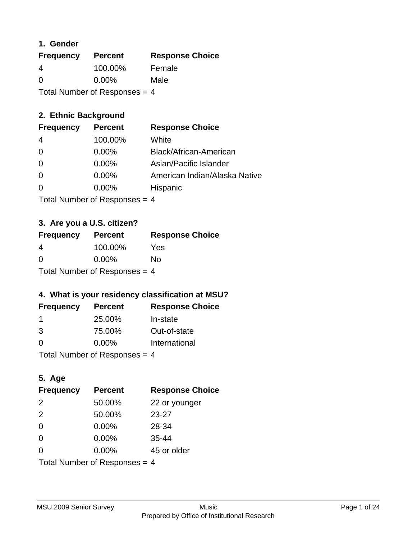### **1. Gender**

| <b>Frequency</b>                | <b>Percent</b> | <b>Response Choice</b> |
|---------------------------------|----------------|------------------------|
| 4                               | 100.00%        | Female                 |
| $\Omega$                        | $0.00\%$       | Male                   |
| Total Number of Responses = $4$ |                |                        |

# **2. Ethnic Background**

| <b>Frequency</b> | <b>Percent</b> | <b>Response Choice</b>        |
|------------------|----------------|-------------------------------|
| 4                | 100.00%        | White                         |
| $\Omega$         | $0.00\%$       | Black/African-American        |
| $\Omega$         | 0.00%          | Asian/Pacific Islander        |
| 0                | 0.00%          | American Indian/Alaska Native |
|                  | $0.00\%$       | Hispanic                      |
|                  |                |                               |

Total Number of Responses = 4

# **3. Are you a U.S. citizen?**

| <b>Frequency</b> | <b>Percent</b>                  | <b>Response Choice</b> |
|------------------|---------------------------------|------------------------|
| 4                | 100.00%                         | Yes                    |
| $\Omega$         | $0.00\%$                        | No                     |
|                  | Total Number of Responses $=$ 4 |                        |

# **4. What is your residency classification at MSU?**

| <b>Frequency</b> | <b>Percent</b> | <b>Response Choice</b> |
|------------------|----------------|------------------------|
|                  | 25.00%         | In-state               |
| 3                | 75.00%         | Out-of-state           |
| 0                | $0.00\%$       | International          |
|                  |                |                        |

Total Number of Responses = 4

# **5. Age**

| <b>Frequency</b>                | <b>Percent</b> | <b>Response Choice</b> |
|---------------------------------|----------------|------------------------|
| 2                               | 50.00%         | 22 or younger          |
| 2                               | 50.00%         | $23 - 27$              |
| $\Omega$                        | 0.00%          | 28-34                  |
| $\Omega$                        | 0.00%          | $35 - 44$              |
| $\Omega$                        | 0.00%          | 45 or older            |
| Total Number of Responses = $4$ |                |                        |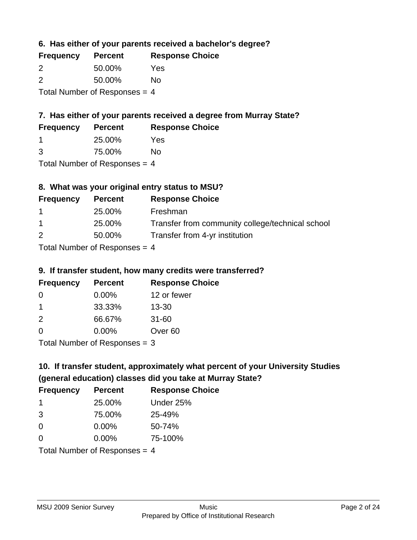**6. Has either of your parents received a bachelor's degree?**

| <b>Frequency</b>                | <b>Percent</b> | <b>Response Choice</b> |
|---------------------------------|----------------|------------------------|
| $\mathcal{P}$                   | 50.00%         | Yes                    |
| $\mathcal{P}$                   | 50.00%         | No                     |
| Total Number of Responses = $4$ |                |                        |

# **7. Has either of your parents received a degree from Murray State?**

| <b>Frequency</b> | <b>Percent</b> | <b>Response Choice</b> |
|------------------|----------------|------------------------|
|                  | 25.00%         | Yes                    |
|                  |                |                        |

3 75.00% No

Total Number of Responses = 4

# **8. What was your original entry status to MSU?**

| <b>Frequency</b> | <b>Percent</b>                                        | <b>Response Choice</b>                           |
|------------------|-------------------------------------------------------|--------------------------------------------------|
| $\mathbf 1$      | 25.00%                                                | Freshman                                         |
| $\overline{1}$   | 25.00%                                                | Transfer from community college/technical school |
| 2                | 50.00%                                                | Transfer from 4-yr institution                   |
|                  | $\tau$ , and the set of $\Gamma$ is a set of $\Gamma$ |                                                  |

Total Number of Responses  $= 4$ 

# **9. If transfer student, how many credits were transferred?**

| <b>Frequency</b> | <b>Percent</b>                  | <b>Response Choice</b> |
|------------------|---------------------------------|------------------------|
| -0               | $0.00\%$                        | 12 or fewer            |
|                  | 33.33%                          | $13 - 30$              |
| $\mathcal{P}$    | 66.67%                          | $31 - 60$              |
| $\Omega$         | 0.00%                           | Over <sub>60</sub>     |
|                  | $Total$ Number of Despasses $-$ |                        |

Total Number of Responses = 3

# **10. If transfer student, approximately what percent of your University Studies (general education) classes did you take at Murray State?**

| <b>Frequency</b>                | <b>Percent</b> | <b>Response Choice</b> |
|---------------------------------|----------------|------------------------|
| -1                              | 25.00%         | Under 25%              |
| 3                               | 75.00%         | 25-49%                 |
| $\Omega$                        | $0.00\%$       | 50-74%                 |
| $\Omega$                        | 0.00%          | 75-100%                |
| Total Number of Responses $=$ 4 |                |                        |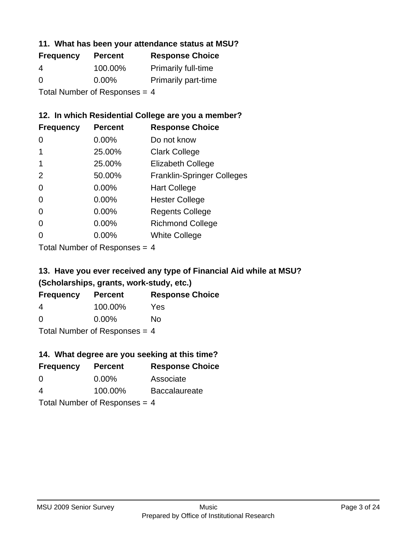#### **11. What has been your attendance status at MSU?**

| <b>Frequency</b>          | <b>Percent</b> | <b>Response Choice</b>     |
|---------------------------|----------------|----------------------------|
| 4                         | 100.00%        | <b>Primarily full-time</b> |
| $\Omega$                  | $0.00\%$       | <b>Primarily part-time</b> |
| Total Number of Deepersee |                |                            |

Total Number of Responses = 4

# **12. In which Residential College are you a member?**

| <b>Frequency</b> | <b>Percent</b> | <b>Response Choice</b>            |
|------------------|----------------|-----------------------------------|
| 0                | $0.00\%$       | Do not know                       |
|                  | 25.00%         | <b>Clark College</b>              |
| 1                | 25.00%         | <b>Elizabeth College</b>          |
| 2                | 50.00%         | <b>Franklin-Springer Colleges</b> |
| 0                | 0.00%          | <b>Hart College</b>               |
| 0                | 0.00%          | <b>Hester College</b>             |
| 0                | 0.00%          | <b>Regents College</b>            |
| 0                | 0.00%          | <b>Richmond College</b>           |
| 0                | 0.00%          | <b>White College</b>              |
|                  |                |                                   |

Total Number of Responses = 4

# **13. Have you ever received any type of Financial Aid while at MSU? (Scholarships, grants, work-study, etc.)**

| <b>Frequency</b>                | <b>Percent</b> | <b>Response Choice</b> |
|---------------------------------|----------------|------------------------|
| 4                               | 100.00%        | Yes                    |
| $\Omega$                        | $0.00\%$       | No                     |
| Total Number of Responses = $4$ |                |                        |

**14. What degree are you seeking at this time?**

| <b>Frequency</b>                | <b>Percent</b> | <b>Response Choice</b> |
|---------------------------------|----------------|------------------------|
| 0                               | $0.00\%$       | Associate              |
| 4                               | 100.00%        | <b>Baccalaureate</b>   |
| Total Number of Responses $=$ 4 |                |                        |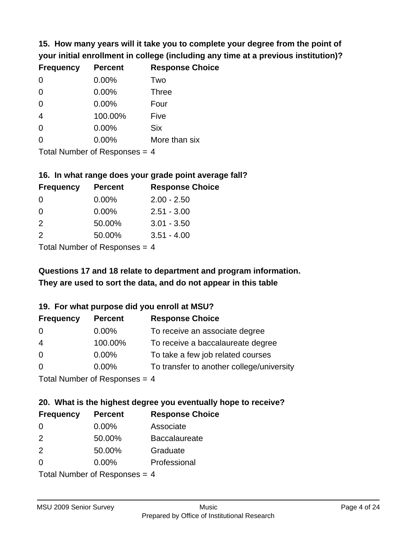**15. How many years will it take you to complete your degree from the point of your initial enrollment in college (including any time at a previous institution)?**

| <b>Frequency</b> | <b>Percent</b> | <b>Response Choice</b> |
|------------------|----------------|------------------------|
| 0                | 0.00%          | Two                    |
| 0                | 0.00%          | <b>Three</b>           |
| $\overline{0}$   | 0.00%          | Four                   |
| $\overline{4}$   | 100.00%        | Five                   |
| $\overline{0}$   | 0.00%          | <b>Six</b>             |
| 0                | 0.00%          | More than six          |
|                  |                |                        |

Total Number of Responses = 4

#### **16. In what range does your grade point average fall?**

| <b>Frequency</b> | <b>Percent</b> | <b>Response Choice</b> |
|------------------|----------------|------------------------|
| O                | 0.00%          | $2.00 - 2.50$          |
| 0                | 0.00%          | $2.51 - 3.00$          |
| $\mathcal{P}$    | 50.00%         | $3.01 - 3.50$          |
| $\mathcal{P}$    | 50.00%         | $3.51 - 4.00$          |
|                  |                |                        |

Total Number of Responses = 4

# **They are used to sort the data, and do not appear in this table Questions 17 and 18 relate to department and program information.**

#### **19. For what purpose did you enroll at MSU?**

| <b>Frequency</b> | <b>Percent</b>            | <b>Response Choice</b>                    |
|------------------|---------------------------|-------------------------------------------|
| 0                | $0.00\%$                  | To receive an associate degree            |
| $\overline{4}$   | 100.00%                   | To receive a baccalaureate degree         |
| $\overline{0}$   | $0.00\%$                  | To take a few job related courses         |
| $\Omega$         | $0.00\%$                  | To transfer to another college/university |
|                  | Total Number of Despanses |                                           |

Total Number of Responses = 4

# **20. What is the highest degree you eventually hope to receive?**

| <b>Frequency</b>            | <b>Percent</b> | <b>Response Choice</b> |
|-----------------------------|----------------|------------------------|
| 0                           | $0.00\%$       | Associate              |
| 2                           | 50.00%         | <b>Baccalaureate</b>   |
| 2                           | 50.00%         | Graduate               |
| $\Omega$                    | 0.00%          | Professional           |
| Total Number of Deepensee 1 |                |                        |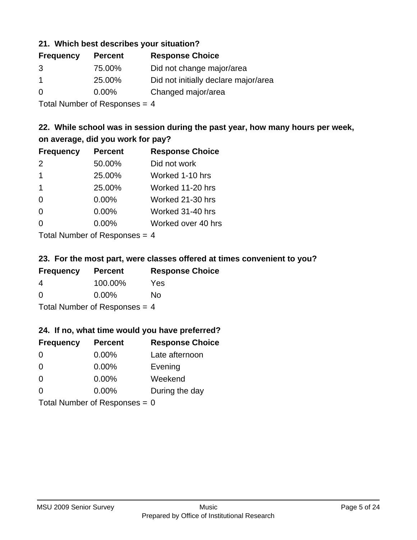#### **21. Which best describes your situation?**

| <b>Percent</b> | <b>Response Choice</b>               |
|----------------|--------------------------------------|
| 75.00%         | Did not change major/area            |
| 25.00%         | Did not initially declare major/area |
| $0.00\%$       | Changed major/area                   |
|                |                                      |

Total Number of Responses = 4

# **22. While school was in session during the past year, how many hours per week, on average, did you work for pay?**

| <b>Frequency</b> | <b>Percent</b> | <b>Response Choice</b> |
|------------------|----------------|------------------------|
| 2                | 50.00%         | Did not work           |
| $\mathbf 1$      | 25.00%         | Worked 1-10 hrs        |
| $\mathbf 1$      | 25.00%         | Worked 11-20 hrs       |
| $\Omega$         | 0.00%          | Worked 21-30 hrs       |
| $\Omega$         | 0.00%          | Worked 31-40 hrs       |
| 0                | 0.00%          | Worked over 40 hrs     |
|                  |                |                        |

Total Number of Responses = 4

#### **23. For the most part, were classes offered at times convenient to you?**

| <b>Frequency</b>                | <b>Percent</b> | <b>Response Choice</b> |
|---------------------------------|----------------|------------------------|
| 4                               | 100.00%        | Yes                    |
| $\Omega$                        | $0.00\%$       | Nο                     |
| Total Number of Responses = $4$ |                |                        |

#### **24. If no, what time would you have preferred?**

| <b>Frequency</b>                | <b>Percent</b> | <b>Response Choice</b> |
|---------------------------------|----------------|------------------------|
| $\Omega$                        | $0.00\%$       | Late afternoon         |
| $\Omega$                        | 0.00%          | Evening                |
| $\Omega$                        | $0.00\%$       | Weekend                |
| $\Omega$                        | $0.00\%$       | During the day         |
| Total Number of Responses = $0$ |                |                        |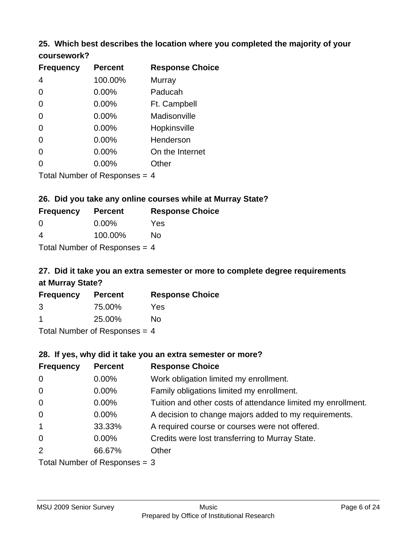#### **25. Which best describes the location where you completed the majority of your coursework?**

| <b>Frequency</b>           | <b>Percent</b> | <b>Response Choice</b> |
|----------------------------|----------------|------------------------|
| 4                          | 100.00%        | Murray                 |
| $\overline{0}$             | 0.00%          | Paducah                |
| 0                          | 0.00%          | Ft. Campbell           |
| $\overline{0}$             | 0.00%          | Madisonville           |
| $\overline{0}$             | 0.00%          | Hopkinsville           |
| 0                          | 0.00%          | Henderson              |
| 0                          | 0.00%          | On the Internet        |
| 0                          | 0.00%          | Other                  |
| Tatal Number of Desperance |                | $\overline{ }$         |

Total Number of Responses = 4

### **26. Did you take any online courses while at Murray State?**

| <b>Frequency</b>                | <b>Percent</b> | <b>Response Choice</b> |
|---------------------------------|----------------|------------------------|
| -0                              | $0.00\%$       | Yes                    |
| -4                              | 100.00%        | No                     |
| Total Number of Responses $=$ 4 |                |                        |

# **27. Did it take you an extra semester or more to complete degree requirements at Murray State?**

| <b>Frequency</b> | <b>Percent</b> | <b>Response Choice</b> |
|------------------|----------------|------------------------|
| 3                | 75.00%         | Yes                    |
| -1               | 25.00%         | No                     |
|                  |                |                        |

Total Number of Responses = 4

#### **28. If yes, why did it take you an extra semester or more?**

| <b>Frequency</b> | <b>Percent</b>                  | <b>Response Choice</b>                                       |
|------------------|---------------------------------|--------------------------------------------------------------|
| $\mathbf 0$      | 0.00%                           | Work obligation limited my enrollment.                       |
| $\mathbf 0$      | $0.00\%$                        | Family obligations limited my enrollment.                    |
| $\mathbf 0$      | $0.00\%$                        | Tuition and other costs of attendance limited my enrollment. |
| $\mathbf 0$      | $0.00\%$                        | A decision to change majors added to my requirements.        |
| $\mathbf{1}$     | 33.33%                          | A required course or courses were not offered.               |
| $\mathbf 0$      | $0.00\%$                        | Credits were lost transferring to Murray State.              |
| 2                | 66.67%                          | Other                                                        |
|                  | Total Number of Responses $=$ 3 |                                                              |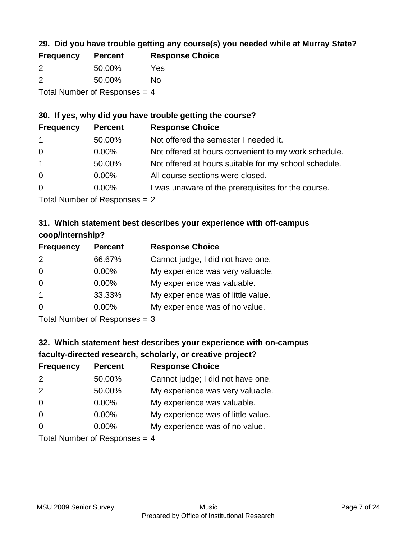# **29. Did you have trouble getting any course(s) you needed while at Murray State?**

| <b>Frequency</b>                | <b>Percent</b> | <b>Response Choice</b> |  |
|---------------------------------|----------------|------------------------|--|
| $\mathcal{P}$                   | 50.00%         | Yes                    |  |
| -2                              | 50.00%         | Nο                     |  |
| Total Number of Responses $=$ 4 |                |                        |  |

### **30. If yes, why did you have trouble getting the course?**

| <b>Frequency</b> | <b>Percent</b> | <b>Response Choice</b>                                |
|------------------|----------------|-------------------------------------------------------|
| $\overline{1}$   | 50.00%         | Not offered the semester I needed it.                 |
| $\overline{0}$   | $0.00\%$       | Not offered at hours convenient to my work schedule.  |
| $\overline{1}$   | 50.00%         | Not offered at hours suitable for my school schedule. |
| $\overline{0}$   | $0.00\%$       | All course sections were closed.                      |
| $\overline{0}$   | $0.00\%$       | I was unaware of the prerequisites for the course.    |
|                  |                |                                                       |

Total Number of Responses = 2

# **31. Which statement best describes your experience with off-campus coop/internship?**

| <b>Frequency</b> | <b>Percent</b> | <b>Response Choice</b>             |
|------------------|----------------|------------------------------------|
| 2                | 66.67%         | Cannot judge, I did not have one.  |
| $\Omega$         | 0.00%          | My experience was very valuable.   |
| $\Omega$         | $0.00\%$       | My experience was valuable.        |
| $\overline{1}$   | 33.33%         | My experience was of little value. |
| $\Omega$         | $0.00\%$       | My experience was of no value.     |
|                  |                |                                    |

Total Number of Responses = 3

# **32. Which statement best describes your experience with on-campus faculty-directed research, scholarly, or creative project?**

| <b>Frequency</b> | <b>Percent</b>              | <b>Response Choice</b>             |
|------------------|-----------------------------|------------------------------------|
| 2                | 50.00%                      | Cannot judge; I did not have one.  |
| 2                | 50.00%                      | My experience was very valuable.   |
| $\overline{0}$   | $0.00\%$                    | My experience was valuable.        |
| $\Omega$         | $0.00\%$                    | My experience was of little value. |
| $\Omega$         | $0.00\%$                    | My experience was of no value.     |
|                  | Total Number of Despesses 4 |                                    |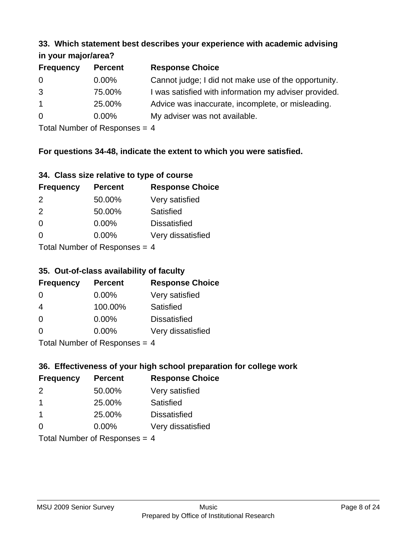#### **33. Which statement best describes your experience with academic advising in your major/area?**

| $\cdots$ your mapproved. |                |                                                       |
|--------------------------|----------------|-------------------------------------------------------|
| <b>Frequency</b>         | <b>Percent</b> | <b>Response Choice</b>                                |
| 0                        | $0.00\%$       | Cannot judge; I did not make use of the opportunity.  |
| 3                        | 75.00%         | I was satisfied with information my adviser provided. |
| $\overline{1}$           | 25.00%         | Advice was inaccurate, incomplete, or misleading.     |
| $\overline{0}$           | $0.00\%$       | My adviser was not available.                         |
|                          |                |                                                       |

Total Number of Responses = 4

# **For questions 34-48, indicate the extent to which you were satisfied.**

| 34. Class size relative to type of course |  |  |  |  |  |  |  |  |
|-------------------------------------------|--|--|--|--|--|--|--|--|
|-------------------------------------------|--|--|--|--|--|--|--|--|

| <b>Frequency</b>              | <b>Percent</b> | <b>Response Choice</b> |  |
|-------------------------------|----------------|------------------------|--|
| 2                             | 50.00%         | Very satisfied         |  |
| $\mathcal{P}$                 | 50.00%         | Satisfied              |  |
| $\Omega$                      | $0.00\%$       | <b>Dissatisfied</b>    |  |
| $\Omega$                      | $0.00\%$       | Very dissatisfied      |  |
| $Total Number of Denonce = A$ |                |                        |  |

Total Number of Responses = 4

#### **35. Out-of-class availability of faculty**

| <b>Frequency</b>                     | <b>Percent</b> | <b>Response Choice</b> |  |
|--------------------------------------|----------------|------------------------|--|
| $\Omega$                             | $0.00\%$       | Very satisfied         |  |
| 4                                    | 100.00%        | Satisfied              |  |
| $\Omega$                             | 0.00%          | <b>Dissatisfied</b>    |  |
| $\Omega$                             | 0.00%          | Very dissatisfied      |  |
| $Total Number of DoEROROR = \Lambda$ |                |                        |  |

Total Number of Responses = 4

# **36. Effectiveness of your high school preparation for college work**

| <b>Frequency</b>     | <b>Percent</b>                 | <b>Response Choice</b> |
|----------------------|--------------------------------|------------------------|
| 2                    | 50.00%                         | Very satisfied         |
| $\blacktriangleleft$ | 25.00%                         | Satisfied              |
| $\mathbf 1$          | 25.00%                         | <b>Dissatisfied</b>    |
| $\Omega$             | $0.00\%$                       | Very dissatisfied      |
|                      | Total Number of Poenonces $-1$ |                        |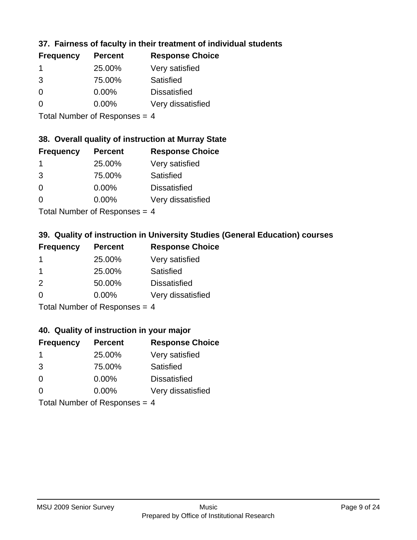# **37. Fairness of faculty in their treatment of individual students**

| <b>Frequency</b> | <b>Percent</b> | <b>Response Choice</b> |
|------------------|----------------|------------------------|
|                  | 25.00%         | Very satisfied         |
| 3                | 75.00%         | Satisfied              |
| $\Omega$         | $0.00\%$       | <b>Dissatisfied</b>    |
| $\Omega$         | $0.00\%$       | Very dissatisfied      |
|                  |                |                        |

Total Number of Responses = 4

#### **38. Overall quality of instruction at Murray State**

| <b>Frequency</b> | <b>Percent</b> | <b>Response Choice</b> |
|------------------|----------------|------------------------|
| -1               | 25.00%         | Very satisfied         |
| 3                | 75.00%         | Satisfied              |
| $\Omega$         | 0.00%          | <b>Dissatisfied</b>    |
| $\Omega$         | 0.00%          | Very dissatisfied      |
|                  |                |                        |

Total Number of Responses = 4

# **39. Quality of instruction in University Studies (General Education) courses**

| <b>Frequency</b> | <b>Percent</b>               | <b>Response Choice</b> |
|------------------|------------------------------|------------------------|
|                  | 25.00%                       | Very satisfied         |
| -1               | 25.00%                       | Satisfied              |
| 2                | 50.00%                       | <b>Dissatisfied</b>    |
| $\Omega$         | $0.00\%$                     | Very dissatisfied      |
|                  | $\tau$ . The state of $\sim$ |                        |

Total Number of Responses = 4

#### **40. Quality of instruction in your major**

| <b>Frequency</b>            | <b>Percent</b> | <b>Response Choice</b> |
|-----------------------------|----------------|------------------------|
| -1                          | 25.00%         | Very satisfied         |
| 3                           | 75.00%         | Satisfied              |
| $\Omega$                    | 0.00%          | <b>Dissatisfied</b>    |
| $\Omega$                    | 0.00%          | Very dissatisfied      |
| Total Number of Deepensee 4 |                |                        |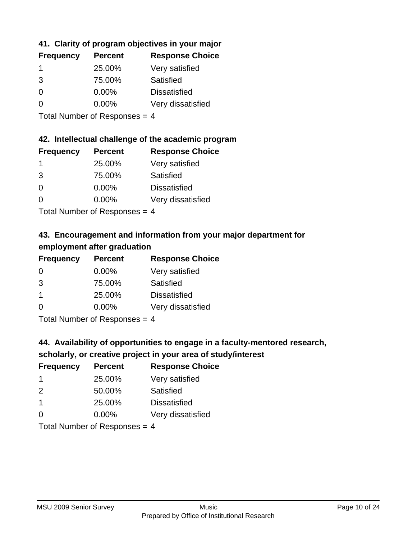# **41. Clarity of program objectives in your major**

| <b>Frequency</b> | <b>Percent</b> | <b>Response Choice</b> |
|------------------|----------------|------------------------|
| 1                | 25.00%         | Very satisfied         |
| 3                | 75.00%         | Satisfied              |
| O                | $0.00\%$       | <b>Dissatisfied</b>    |
| O                | $0.00\%$       | Very dissatisfied      |
|                  |                |                        |

Total Number of Responses = 4

#### **42. Intellectual challenge of the academic program**

| <b>Frequency</b> | <b>Percent</b> | <b>Response Choice</b> |
|------------------|----------------|------------------------|
|                  | 25.00%         | Very satisfied         |
| 3                | 75.00%         | Satisfied              |
| $\Omega$         | 0.00%          | <b>Dissatisfied</b>    |
| $\Omega$         | 0.00%          | Very dissatisfied      |
|                  |                |                        |

Total Number of Responses = 4

# **43. Encouragement and information from your major department for employment after graduation**

| <b>Frequency</b>     | <b>Percent</b> | <b>Response Choice</b> |
|----------------------|----------------|------------------------|
| 0                    | $0.00\%$       | Very satisfied         |
| 3                    | 75.00%         | Satisfied              |
| $\blacktriangleleft$ | 25.00%         | <b>Dissatisfied</b>    |
| $\Omega$             | $0.00\%$       | Very dissatisfied      |
|                      |                |                        |

Total Number of Responses = 4

# **44. Availability of opportunities to engage in a faculty-mentored research,**

# **scholarly, or creative project in your area of study/interest**

| <b>Frequency</b> | <b>Percent</b> | <b>Response Choice</b> |
|------------------|----------------|------------------------|
|                  | 25.00%         | Very satisfied         |
| $\mathcal{P}$    | 50.00%         | Satisfied              |
| -1               | 25.00%         | <b>Dissatisfied</b>    |
| $\Omega$         | 0.00%          | Very dissatisfied      |
|                  |                |                        |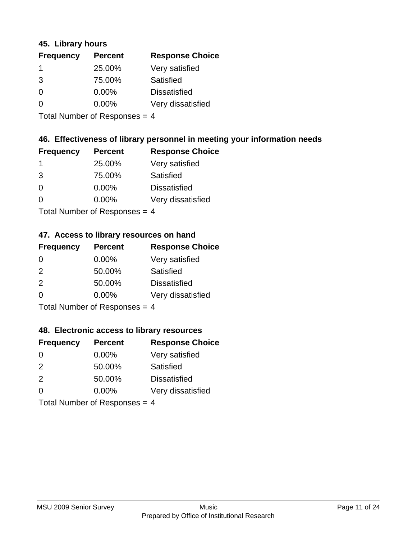#### **45. Library hours**

| <b>Frequency</b> | <b>Percent</b> | <b>Response Choice</b> |
|------------------|----------------|------------------------|
|                  | 25.00%         | Very satisfied         |
| 3                | 75.00%         | Satisfied              |
| $\Omega$         | $0.00\%$       | <b>Dissatisfied</b>    |
| ∩                | $0.00\%$       | Very dissatisfied      |
|                  |                |                        |

Total Number of Responses = 4

### **46. Effectiveness of library personnel in meeting your information needs**

| <b>Frequency</b> | <b>Percent</b> | <b>Response Choice</b> |
|------------------|----------------|------------------------|
|                  | 25.00%         | Very satisfied         |
| 3                | 75.00%         | Satisfied              |
| $\Omega$         | $0.00\%$       | <b>Dissatisfied</b>    |
| O                | $0.00\%$       | Very dissatisfied      |
|                  |                |                        |

Total Number of Responses = 4

# **47. Access to library resources on hand**

| <b>Frequency</b> | <b>Percent</b>             | <b>Response Choice</b> |
|------------------|----------------------------|------------------------|
| $\Omega$         | $0.00\%$                   | Very satisfied         |
| $\mathcal{P}$    | 50.00%                     | Satisfied              |
| 2                | 50.00%                     | <b>Dissatisfied</b>    |
| $\Omega$         | 0.00%                      | Very dissatisfied      |
|                  | Total Number of Deepersoon |                        |

Total Number of Responses = 4

#### **48. Electronic access to library resources**

| <b>Frequency</b>                | <b>Percent</b> | <b>Response Choice</b> |
|---------------------------------|----------------|------------------------|
| $\Omega$                        | $0.00\%$       | Very satisfied         |
| 2                               | 50.00%         | Satisfied              |
| 2                               | 50.00%         | <b>Dissatisfied</b>    |
| $\Omega$                        | $0.00\%$       | Very dissatisfied      |
| Total Number of Responses = $4$ |                |                        |

MSU 2009 Senior Survey **Music** Music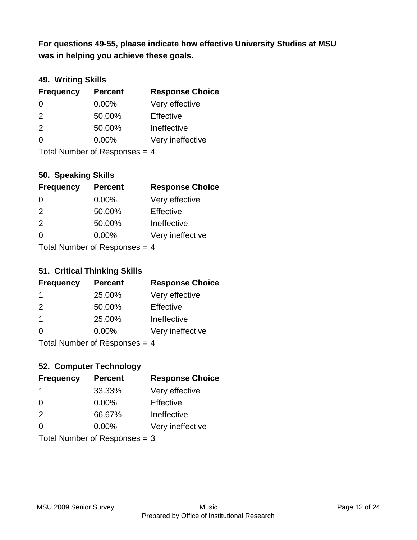**was in helping you achieve these goals. For questions 49-55, please indicate how effective University Studies at MSU** 

### **49. Writing Skills**

| <b>Frequency</b>                | <b>Percent</b> | <b>Response Choice</b> |
|---------------------------------|----------------|------------------------|
| $\Omega$                        | $0.00\%$       | Very effective         |
| 2                               | 50.00%         | Effective              |
| 2                               | 50.00%         | Ineffective            |
| $\Omega$                        | $0.00\%$       | Very ineffective       |
| Total Number of Responses = $4$ |                |                        |

**50. Speaking Skills**

| <b>Frequency</b> | <b>Percent</b>             | <b>Response Choice</b> |
|------------------|----------------------------|------------------------|
| 0                | $0.00\%$                   | Very effective         |
| $\mathcal{P}$    | 50.00%                     | Effective              |
| 2                | 50.00%                     | Ineffective            |
| $\Omega$         | 0.00%                      | Very ineffective       |
|                  | Total Number of Deepersoon |                        |

Total Number of Responses = 4

#### **51. Critical Thinking Skills**

| <b>Frequency</b>            | <b>Percent</b> | <b>Response Choice</b> |
|-----------------------------|----------------|------------------------|
| -1                          | 25.00%         | Very effective         |
| 2                           | 50.00%         | Effective              |
| $\mathbf 1$                 | 25.00%         | Ineffective            |
| $\Omega$                    | 0.00%          | Very ineffective       |
| Total Number of Deepensee 4 |                |                        |

Total Number of Responses = 4

# **52. Computer Technology**

| <b>Frequency</b> | <b>Percent</b>                  | <b>Response Choice</b> |
|------------------|---------------------------------|------------------------|
| -1               | 33.33%                          | Very effective         |
| $\Omega$         | 0.00%                           | Effective              |
| 2                | 66.67%                          | Ineffective            |
| $\Omega$         | $0.00\%$                        | Very ineffective       |
|                  | Total Number of Responses = $3$ |                        |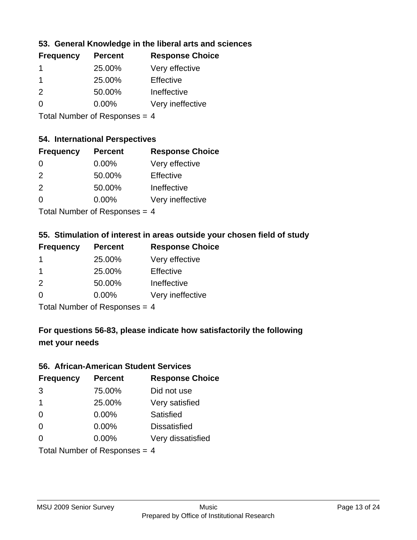### **53. General Knowledge in the liberal arts and sciences**

| <b>Frequency</b> | <b>Percent</b> | <b>Response Choice</b> |
|------------------|----------------|------------------------|
|                  | 25.00%         | Very effective         |
|                  | 25.00%         | Effective              |
| $\mathcal{P}$    | 50.00%         | Ineffective            |
| $\Omega$         | $0.00\%$       | Very ineffective       |
|                  |                |                        |

Total Number of Responses = 4

# **54. International Perspectives**

| <b>Frequency</b> | <b>Percent</b> | <b>Response Choice</b> |
|------------------|----------------|------------------------|
| $\Omega$         | 0.00%          | Very effective         |
| $\mathcal{P}$    | 50.00%         | Effective              |
| $\mathcal{P}$    | 50.00%         | Ineffective            |
| ∩                | 0.00%          | Very ineffective       |
|                  |                |                        |

Total Number of Responses  $= 4$ 

# **55. Stimulation of interest in areas outside your chosen field of study**

| <b>Frequency</b> | <b>Percent</b>              | <b>Response Choice</b> |
|------------------|-----------------------------|------------------------|
| 1                | 25.00%                      | Very effective         |
| -1               | 25.00%                      | Effective              |
| 2                | 50.00%                      | Ineffective            |
| $\Omega$         | 0.00%                       | Very ineffective       |
|                  | Tatal Massakan af Dannannan |                        |

Total Number of Responses = 4

# **For questions 56-83, please indicate how satisfactorily the following met your needs**

#### **56. African-American Student Services**

| <b>Frequency</b>              | <b>Percent</b> | <b>Response Choice</b> |
|-------------------------------|----------------|------------------------|
| 3                             | 75.00%         | Did not use            |
| $\mathbf 1$                   | 25.00%         | Very satisfied         |
| $\Omega$                      | 0.00%          | Satisfied              |
| $\Omega$                      | 0.00%          | <b>Dissatisfied</b>    |
| $\Omega$                      | $0.00\%$       | Very dissatisfied      |
| Total Number of Responses = 4 |                |                        |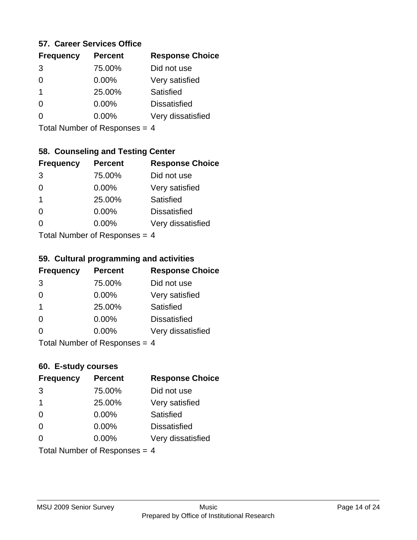#### **57. Career Services Office**

| <b>Frequency</b> | <b>Percent</b> | <b>Response Choice</b> |
|------------------|----------------|------------------------|
| 3                | 75.00%         | Did not use            |
|                  | $0.00\%$       | Very satisfied         |
| 1                | 25.00%         | Satisfied              |
|                  | 0.00%          | <b>Dissatisfied</b>    |
|                  | $0.00\%$       | Very dissatisfied      |
|                  |                |                        |

Total Number of Responses = 4

# **58. Counseling and Testing Center**

| <b>Frequency</b>                     | <b>Percent</b> | <b>Response Choice</b> |
|--------------------------------------|----------------|------------------------|
| 3                                    | 75.00%         | Did not use            |
| 0                                    | 0.00%          | Very satisfied         |
| 1                                    | 25.00%         | <b>Satisfied</b>       |
| ∩                                    | 0.00%          | <b>Dissatisfied</b>    |
| 0                                    | 0.00%          | Very dissatisfied      |
| $Total Number of DoEROROR = \Lambda$ |                |                        |

Total Number of Responses = 4

#### **59. Cultural programming and activities**

| <b>Frequency</b>              | <b>Percent</b> | <b>Response Choice</b> |
|-------------------------------|----------------|------------------------|
| 3                             | 75.00%         | Did not use            |
| $\Omega$                      | $0.00\%$       | Very satisfied         |
| $\overline{\mathbf{1}}$       | 25.00%         | Satisfied              |
| $\Omega$                      | $0.00\%$       | <b>Dissatisfied</b>    |
| ∩                             | $0.00\%$       | Very dissatisfied      |
| Total Number of Responses = 4 |                |                        |

# **60. E-study courses**

| <b>Frequency</b>                | <b>Percent</b> | <b>Response Choice</b> |
|---------------------------------|----------------|------------------------|
| 3                               | 75.00%         | Did not use            |
| $\mathbf 1$                     | 25.00%         | Very satisfied         |
| $\Omega$                        | 0.00%          | Satisfied              |
| $\Omega$                        | 0.00%          | <b>Dissatisfied</b>    |
| $\Omega$                        | 0.00%          | Very dissatisfied      |
| Total Number of Responses = $4$ |                |                        |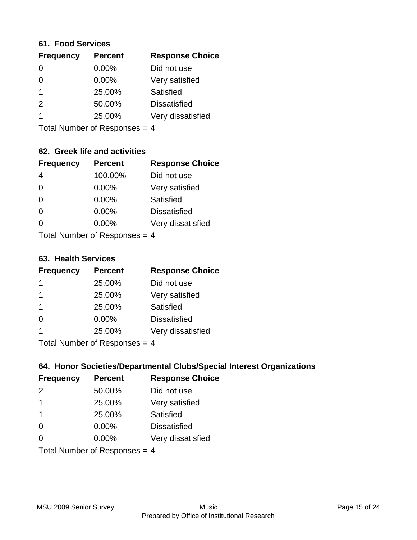#### **61. Food Services**

| <b>Frequency</b> | <b>Percent</b> | <b>Response Choice</b> |
|------------------|----------------|------------------------|
| 0                | $0.00\%$       | Did not use            |
| $\Omega$         | 0.00%          | Very satisfied         |
|                  | 25.00%         | <b>Satisfied</b>       |
| $\mathcal{P}$    | 50.00%         | <b>Dissatisfied</b>    |
|                  | 25.00%         | Very dissatisfied      |
|                  |                |                        |

Total Number of Responses = 4

# **62. Greek life and activities**

| <b>Frequency</b>              | <b>Percent</b> | <b>Response Choice</b> |
|-------------------------------|----------------|------------------------|
| 4                             | 100.00%        | Did not use            |
| $\Omega$                      | 0.00%          | Very satisfied         |
| $\Omega$                      | 0.00%          | Satisfied              |
| $\Omega$                      | 0.00%          | <b>Dissatisfied</b>    |
| O                             | $0.00\%$       | Very dissatisfied      |
| Total Number of Responses = 4 |                |                        |

**63. Health Services**

| <b>Frequency</b> | <b>Percent</b> | <b>Response Choice</b> |
|------------------|----------------|------------------------|
| 1                | 25.00%         | Did not use            |
|                  | 25.00%         | Very satisfied         |
| -1               | 25.00%         | Satisfied              |
| $\Omega$         | 0.00%          | <b>Dissatisfied</b>    |
|                  | 25.00%         | Very dissatisfied      |
|                  |                |                        |

Total Number of Responses  $= 4$ 

### **64. Honor Societies/Departmental Clubs/Special Interest Organizations**

| <b>Frequency</b>              | <b>Percent</b> | <b>Response Choice</b> |
|-------------------------------|----------------|------------------------|
| $\mathcal{P}$                 | 50.00%         | Did not use            |
| $\overline{1}$                | 25.00%         | Very satisfied         |
| -1                            | 25.00%         | Satisfied              |
| $\Omega$                      | 0.00%          | <b>Dissatisfied</b>    |
| $\Omega$                      | 0.00%          | Very dissatisfied      |
| Total Number of Responses = 4 |                |                        |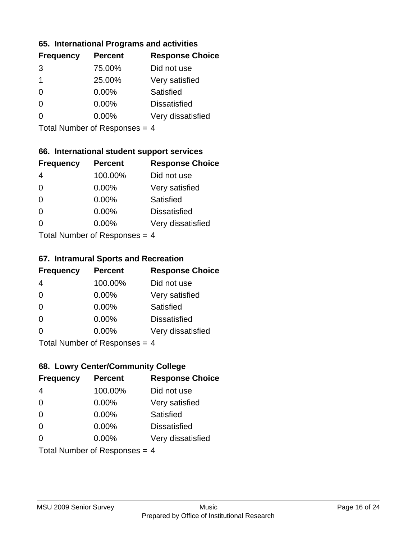#### **65. International Programs and activities**

| <b>Frequency</b> | <b>Percent</b> | <b>Response Choice</b> |
|------------------|----------------|------------------------|
| 3                | 75.00%         | Did not use            |
| 1                | 25.00%         | Very satisfied         |
| 0                | $0.00\%$       | Satisfied              |
|                  | 0.00%          | <b>Dissatisfied</b>    |
|                  | $0.00\%$       | Very dissatisfied      |
|                  |                |                        |

Total Number of Responses = 4

# **66. International student support services**

| <b>Frequency</b>            | <b>Percent</b> | <b>Response Choice</b> |
|-----------------------------|----------------|------------------------|
| 4                           | 100.00%        | Did not use            |
| $\Omega$                    | 0.00%          | Very satisfied         |
| $\Omega$                    | 0.00%          | <b>Satisfied</b>       |
| $\Omega$                    | 0.00%          | <b>Dissatisfied</b>    |
| ∩                           | 0.00%          | Very dissatisfied      |
| Total Number of Desponses 4 |                |                        |

Total Number of Responses = 4

#### **67. Intramural Sports and Recreation**

| <b>Frequency</b>              | <b>Percent</b> | <b>Response Choice</b> |
|-------------------------------|----------------|------------------------|
| 4                             | 100.00%        | Did not use            |
| $\Omega$                      | $0.00\%$       | Very satisfied         |
| $\Omega$                      | $0.00\%$       | Satisfied              |
| $\Omega$                      | 0.00%          | <b>Dissatisfied</b>    |
| $\Omega$                      | 0.00%          | Very dissatisfied      |
| $Total Number of Denonce = A$ |                |                        |

I otal Number of Responses = 4

# **68. Lowry Center/Community College**

| <b>Frequency</b>                | <b>Percent</b> | <b>Response Choice</b> |
|---------------------------------|----------------|------------------------|
| 4                               | 100.00%        | Did not use            |
| $\Omega$                        | 0.00%          | Very satisfied         |
| $\Omega$                        | 0.00%          | Satisfied              |
| $\Omega$                        | 0.00%          | <b>Dissatisfied</b>    |
| 0                               | $0.00\%$       | Very dissatisfied      |
| Total Number of Responses = $4$ |                |                        |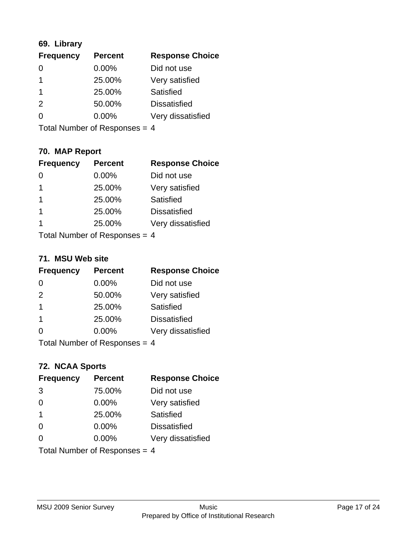# **69. Library**

| <b>Frequency</b> | <b>Percent</b> | <b>Response Choice</b> |
|------------------|----------------|------------------------|
| 0                | 0.00%          | Did not use            |
|                  | 25.00%         | Very satisfied         |
|                  | 25.00%         | <b>Satisfied</b>       |
| $\mathcal{P}$    | 50.00%         | <b>Dissatisfied</b>    |
| ∩                | $0.00\%$       | Very dissatisfied      |
|                  |                |                        |

Total Number of Responses = 4

# **70. MAP Report**

| <b>Frequency</b>                | <b>Percent</b> | <b>Response Choice</b> |
|---------------------------------|----------------|------------------------|
|                                 | 0.00%          | Did not use            |
| 1                               | 25.00%         | Very satisfied         |
| 1                               | 25.00%         | Satisfied              |
| 1                               | 25.00%         | <b>Dissatisfied</b>    |
| 1                               | 25.00%         | Very dissatisfied      |
| Total Number of Responses = $4$ |                |                        |

#### **71. MSU Web site**

| <b>Frequency</b>              | <b>Percent</b> | <b>Response Choice</b> |
|-------------------------------|----------------|------------------------|
| $\Omega$                      | 0.00%          | Did not use            |
| 2                             | 50.00%         | Very satisfied         |
| -1                            | 25.00%         | Satisfied              |
| -1                            | 25.00%         | <b>Dissatisfied</b>    |
| ∩                             | $0.00\%$       | Very dissatisfied      |
| Total Number of Responses = 4 |                |                        |

# **72. NCAA Sports**

| <b>Frequency</b>              | <b>Percent</b> | <b>Response Choice</b> |
|-------------------------------|----------------|------------------------|
| 3                             | 75.00%         | Did not use            |
| $\Omega$                      | 0.00%          | Very satisfied         |
| $\mathbf 1$                   | 25.00%         | Satisfied              |
| $\Omega$                      | 0.00%          | <b>Dissatisfied</b>    |
| $\Omega$                      | 0.00%          | Very dissatisfied      |
| Total Number of Responses = 4 |                |                        |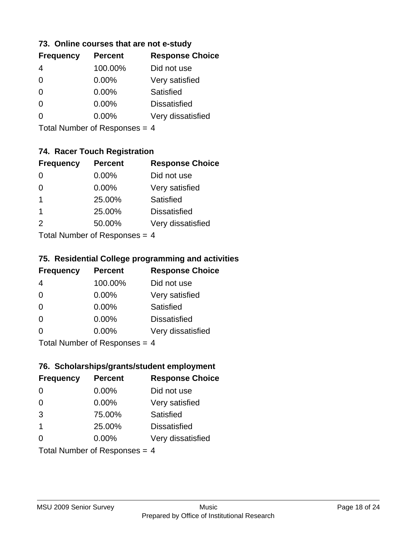#### **73. Online courses that are not e-study**

| <b>Frequency</b> | <b>Percent</b> | <b>Response Choice</b> |
|------------------|----------------|------------------------|
|                  | 100.00%        | Did not use            |
| 0                | $0.00\%$       | Very satisfied         |
| 0                | $0.00\%$       | Satisfied              |
|                  | $0.00\%$       | <b>Dissatisfied</b>    |
|                  | $0.00\%$       | Very dissatisfied      |
|                  |                |                        |

Total Number of Responses = 4

# **74. Racer Touch Registration**

| <b>Frequency</b>          | <b>Percent</b> | <b>Response Choice</b> |
|---------------------------|----------------|------------------------|
| $\Omega$                  | 0.00%          | Did not use            |
| 0                         | 0.00%          | Very satisfied         |
| 1                         | 25.00%         | <b>Satisfied</b>       |
| 1                         | 25.00%         | <b>Dissatisfied</b>    |
| $\mathcal{P}$             | 50.00%         | Very dissatisfied      |
| Total Number of Despanses |                |                        |

Total Number of Responses = 4

### **75. Residential College programming and activities**

| <b>Frequency</b> | <b>Percent</b>                | <b>Response Choice</b> |
|------------------|-------------------------------|------------------------|
| 4                | 100.00%                       | Did not use            |
| $\Omega$         | 0.00%                         | Very satisfied         |
| $\Omega$         | 0.00%                         | Satisfied              |
| $\Omega$         | 0.00%                         | <b>Dissatisfied</b>    |
| $\Omega$         | 0.00%                         | Very dissatisfied      |
|                  | $Total Number of Denonce = A$ |                        |

I otal Number of Responses = 4

# **76. Scholarships/grants/student employment**

| <b>Frequency</b>        | <b>Percent</b>                | <b>Response Choice</b> |
|-------------------------|-------------------------------|------------------------|
| $\Omega$                | 0.00%                         | Did not use            |
| $\Omega$                | $0.00\%$                      | Very satisfied         |
| 3                       | 75.00%                        | Satisfied              |
| $\overline{\mathbf{1}}$ | 25.00%                        | <b>Dissatisfied</b>    |
| $\Omega$                | 0.00%                         | Very dissatisfied      |
|                         | Total Number of Responses = 4 |                        |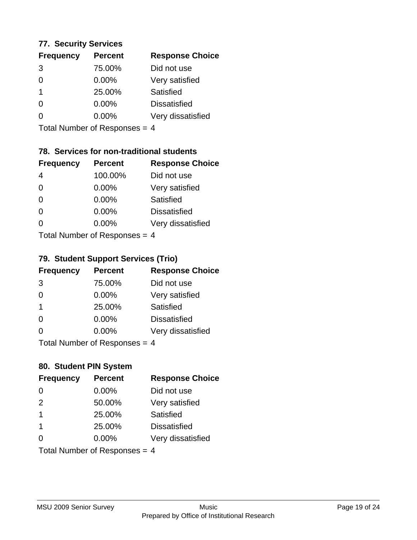#### **77. Security Services**

| <b>Frequency</b> | <b>Percent</b> | <b>Response Choice</b> |
|------------------|----------------|------------------------|
| 3                | 75.00%         | Did not use            |
| 0                | $0.00\%$       | Very satisfied         |
| 1                | 25.00%         | Satisfied              |
| 0                | 0.00%          | <b>Dissatisfied</b>    |
|                  | $0.00\%$       | Very dissatisfied      |
|                  |                |                        |

Total Number of Responses = 4

# **78. Services for non-traditional students**

| <b>Frequency</b>        | <b>Percent</b> | <b>Response Choice</b> |
|-------------------------|----------------|------------------------|
| 4                       | 100.00%        | Did not use            |
| $\Omega$                | $0.00\%$       | Very satisfied         |
| $\Omega$                | $0.00\%$       | Satisfied              |
| $\Omega$                | 0.00%          | <b>Dissatisfied</b>    |
| 0                       | 0.00%          | Very dissatisfied      |
| Total Number of Doepopo |                |                        |

Total Number of Responses = 4

### **79. Student Support Services (Trio)**

| <b>Frequency</b>            | <b>Percent</b> | <b>Response Choice</b> |
|-----------------------------|----------------|------------------------|
| 3                           | 75.00%         | Did not use            |
| $\Omega$                    | $0.00\%$       | Very satisfied         |
| $\mathbf 1$                 | 25.00%         | Satisfied              |
| $\Omega$                    | 0.00%          | <b>Dissatisfied</b>    |
| $\Omega$                    | 0.00%          | Very dissatisfied      |
| Total Number of Desponses 4 |                |                        |

Total Number of Responses = 4

# **80. Student PIN System**

| <b>Frequency</b>        | <b>Percent</b>                | <b>Response Choice</b> |
|-------------------------|-------------------------------|------------------------|
| $\Omega$                | 0.00%                         | Did not use            |
| 2                       | 50.00%                        | Very satisfied         |
| $\overline{\mathbf{1}}$ | 25.00%                        | Satisfied              |
| $\overline{\mathbf{1}}$ | 25.00%                        | <b>Dissatisfied</b>    |
| ∩                       | $0.00\%$                      | Very dissatisfied      |
|                         | Total Number of Responses = 4 |                        |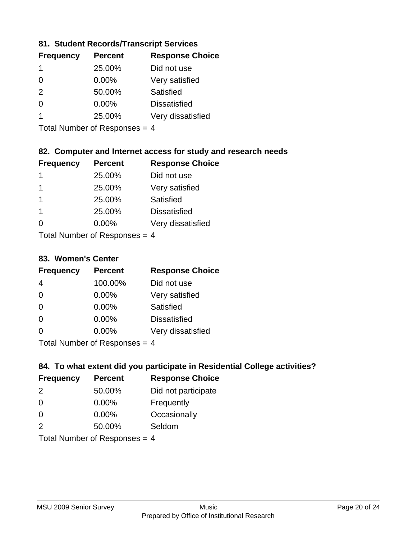### **81. Student Records/Transcript Services**

| <b>Frequency</b> | <b>Percent</b> | <b>Response Choice</b> |
|------------------|----------------|------------------------|
| 1                | 25.00%         | Did not use            |
| 0                | 0.00%          | Very satisfied         |
| $\mathcal{P}$    | 50.00%         | Satisfied              |
| 0                | 0.00%          | <b>Dissatisfied</b>    |
|                  | 25.00%         | Very dissatisfied      |

Total Number of Responses = 4

# **82. Computer and Internet access for study and research needs**

| <b>Frequency</b>           | <b>Percent</b> | <b>Response Choice</b> |
|----------------------------|----------------|------------------------|
| 1                          | 25.00%         | Did not use            |
| 1                          | 25.00%         | Very satisfied         |
| 1                          | 25.00%         | Satisfied              |
| $\mathbf 1$                | 25.00%         | <b>Dissatisfied</b>    |
| 0                          | 0.00%          | Very dissatisfied      |
| Tatal Number of Desperance |                |                        |

Total Number of Responses = 4

#### **83. Women's Center**

| <b>Frequency</b>          | <b>Percent</b> | <b>Response Choice</b> |
|---------------------------|----------------|------------------------|
| 4                         | 100.00%        | Did not use            |
| $\Omega$                  | 0.00%          | Very satisfied         |
| $\Omega$                  | $0.00\%$       | <b>Satisfied</b>       |
| $\Omega$                  | 0.00%          | <b>Dissatisfied</b>    |
| $\Omega$                  | 0.00%          | Very dissatisfied      |
| Total Number of Despanses |                |                        |

Total Number of Responses = 4

### **84. To what extent did you participate in Residential College activities?**

| <b>Frequency</b> | <b>Percent</b>              | <b>Response Choice</b> |
|------------------|-----------------------------|------------------------|
| $\mathcal{P}$    | 50.00%                      | Did not participate    |
| $\Omega$         | 0.00%                       | Frequently             |
| $\Omega$         | 0.00%                       | Occasionally           |
| $\mathcal{P}$    | 50.00%                      | Seldom                 |
|                  | Total Number of Deepensee 4 |                        |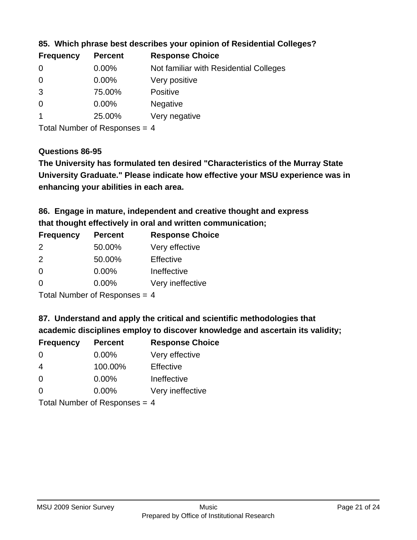| <b>Frequency</b> | <b>Percent</b> | <b>Response Choice</b>                 |
|------------------|----------------|----------------------------------------|
| 0                | $0.00\%$       | Not familiar with Residential Colleges |
| $\overline{0}$   | 0.00%          | Very positive                          |
| 3                | 75.00%         | <b>Positive</b>                        |
| $\overline{0}$   | 0.00%          | <b>Negative</b>                        |
|                  | 25.00%         | Very negative                          |

#### **85. Which phrase best describes your opinion of Residential Colleges?**

Total Number of Responses = 4

#### **Questions 86-95**

**University Graduate." Please indicate how effective your MSU experience was in The University has formulated ten desired "Characteristics of the Murray State enhancing your abilities in each area.**

**86. Engage in mature, independent and creative thought and express that thought effectively in oral and written communication;**

| <b>Percent</b> | <b>Response Choice</b> |
|----------------|------------------------|
| 50.00%         | Very effective         |
| 50.00%         | Effective              |
| $0.00\%$       | Ineffective            |
| $0.00\%$       | Very ineffective       |
|                |                        |

Total Number of Responses = 4

#### **87. Understand and apply the critical and scientific methodologies that**

**academic disciplines employ to discover knowledge and ascertain its validity;**

| <b>Frequency</b> | <b>Percent</b>            | <b>Response Choice</b> |
|------------------|---------------------------|------------------------|
| $\Omega$         | 0.00%                     | Very effective         |
| 4                | 100.00%                   | Effective              |
| $\Omega$         | 0.00%                     | Ineffective            |
| $\Omega$         | 0.00%                     | Very ineffective       |
|                  | Total Number of Deepersee |                        |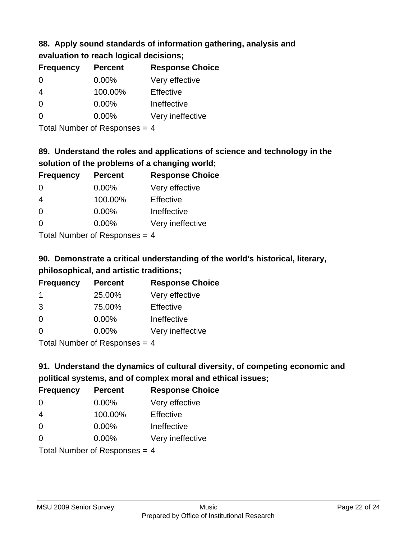### **88. Apply sound standards of information gathering, analysis and evaluation to reach logical decisions;**

| <b>Frequency</b> | <b>Percent</b> | <b>Response Choice</b> |
|------------------|----------------|------------------------|
| 0                | 0.00%          | Very effective         |
| $\overline{4}$   | 100.00%        | Effective              |
| 0                | 0.00%          | Ineffective            |
| $\Omega$         | 0.00%          | Very ineffective       |
|                  |                |                        |

Total Number of Responses = 4

# **89. Understand the roles and applications of science and technology in the solution of the problems of a changing world;**

| <b>Frequency</b> | <b>Percent</b> | <b>Response Choice</b> |
|------------------|----------------|------------------------|
| $\Omega$         | $0.00\%$       | Very effective         |
| $\overline{4}$   | 100.00%        | Effective              |
| $\Omega$         | 0.00%          | Ineffective            |
| $\Omega$         | 0.00%          | Very ineffective       |
|                  |                |                        |

Total Number of Responses = 4

# **90. Demonstrate a critical understanding of the world's historical, literary, philosophical, and artistic traditions;**

| <b>Frequency</b> | <b>Percent</b> | <b>Response Choice</b> |
|------------------|----------------|------------------------|
| -1               | 25.00%         | Very effective         |
| 3                | 75.00%         | Effective              |
| $\Omega$         | 0.00%          | Ineffective            |
| ∩                | 0.00%          | Very ineffective       |
|                  |                |                        |

Total Number of Responses = 4

# **91. Understand the dynamics of cultural diversity, of competing economic and political systems, and of complex moral and ethical issues;**

| <b>Frequency</b> | <b>Percent</b>                  | <b>Response Choice</b> |
|------------------|---------------------------------|------------------------|
| $\Omega$         | $0.00\%$                        | Very effective         |
| $\overline{4}$   | 100.00%                         | Effective              |
| $\Omega$         | $0.00\%$                        | Ineffective            |
| $\Omega$         | 0.00%                           | Very ineffective       |
|                  | Total Number of Responses = $4$ |                        |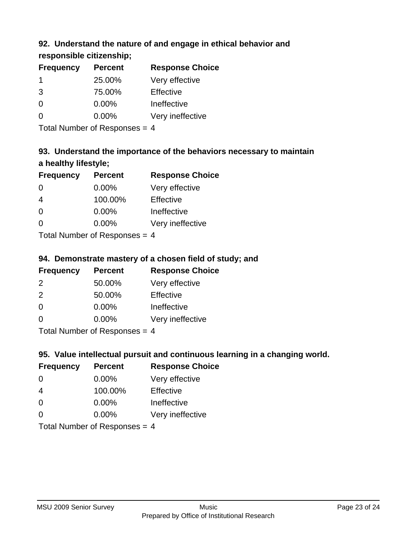# **92. Understand the nature of and engage in ethical behavior and**

# **responsible citizenship;**

| <b>Percent</b> | <b>Response Choice</b> |
|----------------|------------------------|
| 25.00%         | Very effective         |
| 75.00%         | Effective              |
| 0.00%          | Ineffective            |
| $0.00\%$       | Very ineffective       |
|                |                        |

Total Number of Responses = 4

# **93. Understand the importance of the behaviors necessary to maintain a healthy lifestyle;**

| <b>Frequency</b> | <b>Percent</b> | <b>Response Choice</b> |
|------------------|----------------|------------------------|
| $\Omega$         | $0.00\%$       | Very effective         |
| $\overline{4}$   | 100.00%        | Effective              |
| $\Omega$         | 0.00%          | Ineffective            |
| $\Omega$         | 0.00%          | Very ineffective       |
|                  |                |                        |

Total Number of Responses = 4

# **94. Demonstrate mastery of a chosen field of study; and**

| <b>Frequency</b> | <b>Percent</b> | <b>Response Choice</b> |
|------------------|----------------|------------------------|
| $\mathcal{P}$    | 50.00%         | Very effective         |
| $\mathcal{P}$    | 50.00%         | Effective              |
| $\Omega$         | $0.00\%$       | Ineffective            |
| $\Omega$         | $0.00\%$       | Very ineffective       |
|                  |                |                        |

Total Number of Responses = 4

# **95. Value intellectual pursuit and continuous learning in a changing world.**

| <b>Frequency</b> | <b>Percent</b>             | <b>Response Choice</b> |
|------------------|----------------------------|------------------------|
| $\Omega$         | 0.00%                      | Very effective         |
| 4                | 100.00%                    | Effective              |
| $\Omega$         | 0.00%                      | Ineffective            |
| $\Omega$         | 0.00%                      | Very ineffective       |
|                  | Total Number of Desperance |                        |